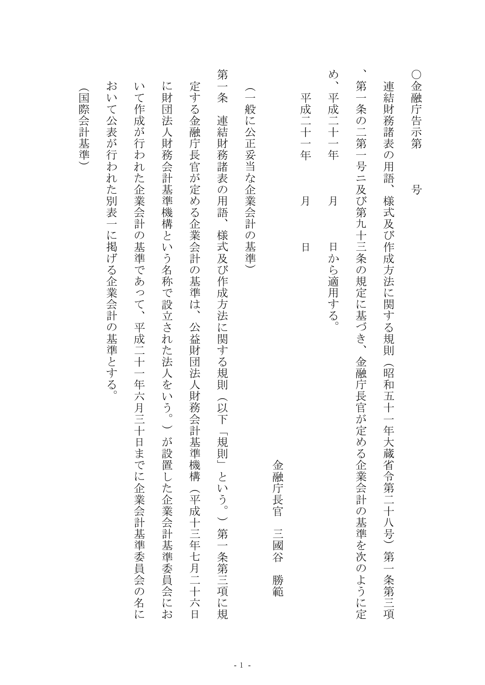| $\bigcirc$<br>金融庁告示<br>第              | 号                    |                                                           |
|---------------------------------------|----------------------|-----------------------------------------------------------|
| 連結<br>:財務諸<br>表<br>$\mathcal{O}$<br>用 | 語、                   | 様式及び作成方法に関する規則<br>命昭和<br>五十一<br>年<br>大蔵省令第二十八号)<br>第一条第三項 |
| 第<br>一条の二第一号ニ及び第九十三条                  |                      | の規定<br>に基づき、<br>金融庁長官が<br>定める企業会計の基準を次のように定               |
| め、<br>平成二十一年                          | 月                    | 日<br>から適用する。                                              |
| 平成二十一年                                | 月                    | 日                                                         |
|                                       |                      | 金融庁長官<br>三國谷<br>勝範                                        |
| $\supset$<br>般に公正妥当な企業会計              |                      | $\mathcal{O}$<br>○基準)                                     |
| 第一条<br>連結財務諸表                         | $\mathcal{O}$<br>用語、 | 様式及び作成方法に関する規則<br>①下<br>規則」<br>という。)第一条第三項に規              |
| 定する金融庁長官が定める企業会計の基準は、                 |                      | 公益財団法人財務会計基準機構<br>(平成十三年七月二十六日                            |
| に<br>財<br>団法                          |                      | 人財務会計基準機構という名称で設立された法人をいう。)<br>が<br>設置した企業会計基準委員会にお       |
| $\sqrt{ }$                            |                      | て作成が行われた企業会計の基準であって、<br>平成二十一年六月三十日までに企業会計基準委員会の名に        |
| お<br>$\sqrt{ }$                       |                      | て公表が行われた別表一に掲げる企業会計の基準とする。                                |
| 国<br>際会計基準)                           |                      |                                                           |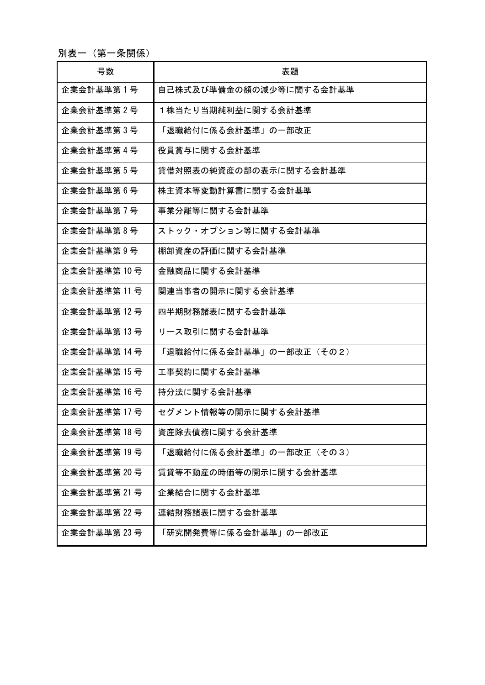別表一(第一条関係)

| 号数           | 表題                      |
|--------------|-------------------------|
| 企業会計基準第1号    | 自己株式及び準備金の額の減少等に関する会計基準 |
| 企業会計基準第2号    | 1株当たり当期純利益に関する会計基準      |
| 企業会計基準第3号    | 「退職給付に係る会計基準」の一部改正      |
| 企業会計基準第4号    | 役員賞与に関する会計基準            |
| 企業会計基準第5号    | 貸借対照表の純資産の部の表示に関する会計基準  |
| 企業会計基準第6号    | 株主資本等変動計算書に関する会計基準      |
| 企業会計基準第7号    | 事業分離等に関する会計基準           |
| 企業会計基準第8号    | ストック・オプション等に関する会計基準     |
| 企業会計基準第9号    | 棚卸資産の評価に関する会計基準         |
| 企業会計基準第10号   | 金融商品に関する会計基準            |
| 企業会計基準第11号   | 関連当事者の開示に関する会計基準        |
| 企業会計基準第 12 号 | 四半期財務諸表に関する会計基準         |
| 企業会計基準第 13 号 | リース取引に関する会計基準           |
| 企業会計基準第 14 号 | 「退職給付に係る会計基準」の一部改正(その2) |
| 企業会計基準第15号   | 工事契約に関する会計基準            |
| 企業会計基準第16号   | 持分法に関する会計基準             |
| 企業会計基準第 17 号 | セグメント情報等の開示に関する会計基準     |
| 企業会計基準第 18 号 | 資産除去債務に関する会計基準          |
| 企業会計基準第 19 号 | 「退職給付に係る会計基準」の一部改正(その3) |
| 企業会計基準第 20号  | 賃貸等不動産の時価等の開示に関する会計基準   |
| 企業会計基準第 21 号 | 企業結合に関する会計基準            |
| 企業会計基準第 22 号 | 連結財務諸表に関する会計基準          |
| 企業会計基準第 23 号 | 「研究開発費等に係る会計基準」の一部改正    |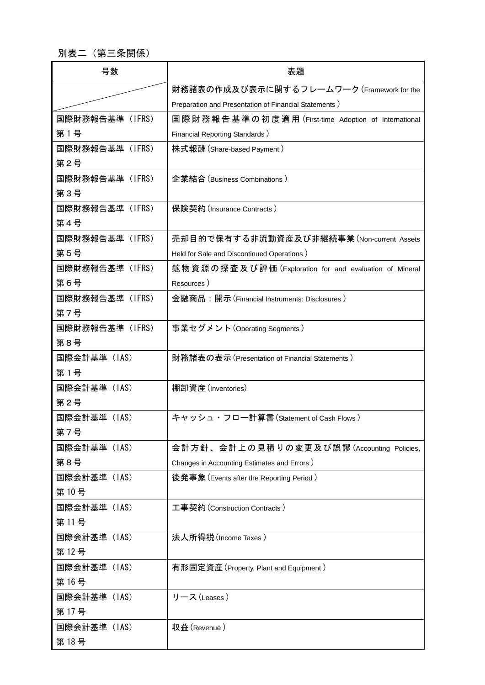別表二(第三条関係)

| 号数              | 表題                                                     |
|-----------------|--------------------------------------------------------|
|                 | 財務諸表の作成及び表示に関するフレームワーク (Framework for the              |
|                 | Preparation and Presentation of Financial Statements ) |
| 国際財務報告基準 (IFRS) | 国際財務報告基準の初度適用 (First-time Adoption of International    |
| 第1号             | <b>Financial Reporting Standards )</b>                 |
| 国際財務報告基準 (IFRS) | 株式報酬 (Share-based Payment)                             |
| 第2号             |                                                        |
| 国際財務報告基準 (IFRS) | 企業結合 (Business Combinations)                           |
| 第3号             |                                                        |
| 国際財務報告基準 (IFRS) | 保険契約 (Insurance Contracts)                             |
| 第4号             |                                                        |
| 国際財務報告基準(IFRS)  | 売却目的で保有する非流動資産及び非継続事業 (Non-current Assets              |
| 第5号             | Held for Sale and Discontinued Operations )            |
| 国際財務報告基準(IFRS)  | 鉱物資源の探査及び評価 (Exploration for and evaluation of Mineral |
| 第6号             | Resources)                                             |
| 国際財務報告基準(IFRS)  | 金融商品:開示(Financial Instruments: Disclosures)            |
| 第7号             |                                                        |
| 国際財務報告基準(IFRS)  | 事業セグメント(Operating Segments)                            |
| 第8号             |                                                        |
| 国際会計基準(IAS)     | 財務諸表の表示 (Presentation of Financial Statements)         |
| 第1号             |                                                        |
| 国際会計基準 (IAS)    | 棚卸資産(Inventories)                                      |
| 第2号             |                                                        |
| 国際会計基準(IAS)     | キャッシュ・フロー計算書 (Statement of Cash Flows)                 |
| 第7号             |                                                        |
| 国際会計基準 (IAS)    | 会計方針、会計上の見積りの変更及び誤謬 (Accounting Policies,              |
| 第8号             | Changes in Accounting Estimates and Errors)            |
| 国際会計基準 (IAS)    | 後発事象 (Events after the Reporting Period)               |
| 第10号            |                                                        |
| 国際会計基準(IAS)     | 工事契約 (Construction Contracts)                          |
| 第11号            |                                                        |
| 国際会計基準(IAS)     | 法人所得税(Income Taxes)                                    |
| 第12号            |                                                        |
| 国際会計基準 (IAS)    | 有形固定資産 (Property, Plant and Equipment)                 |
| 第16号            |                                                        |
| 国際会計基準 (IAS)    | リース (Leases)                                           |
| 第17号            |                                                        |
| 国際会計基準(IAS)     | 収益(Revenue)                                            |
| 第18号            |                                                        |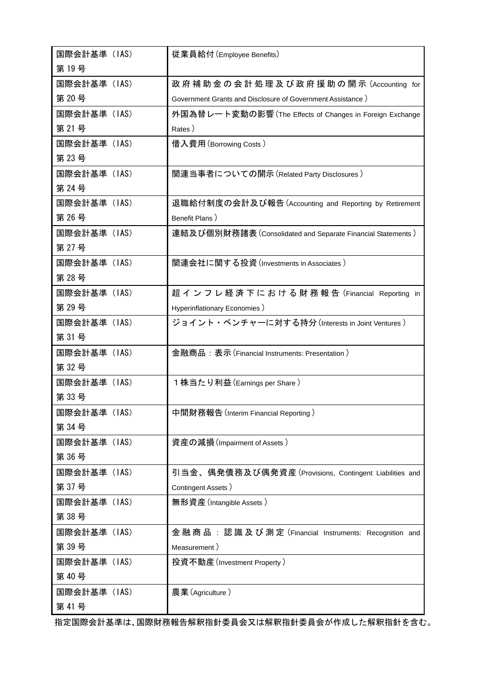| 国際会計基準(IAS)  | 従業員給付 (Employee Benefits)                                     |
|--------------|---------------------------------------------------------------|
| 第19号         |                                                               |
| 国際会計基準 (IAS) | 政 府 補 助 金 の 会 計 処 理 及 び 政 府 援 助 の 開 示 (Accounting for         |
| 第20号         | Government Grants and Disclosure of Government Assistance)    |
| 国際会計基準(IAS)  | 外国為替レート変動の影響 (The Effects of Changes in Foreign Exchange      |
| 第 21号        | Rates)                                                        |
| 国際会計基準(IAS)  | 借入費用(Borrowing Costs)                                         |
| 第 23号        |                                                               |
| 国際会計基準(IAS)  | 関連当事者についての開示 (Related Party Disclosures )                     |
| 第 24号        |                                                               |
| 国際会計基準(IAS)  | 退職給付制度の会計及び報告 (Accounting and Reporting by Retirement         |
| 第 26号        | Benefit Plans)                                                |
| 国際会計基準(IAS)  | 連結及び個別財務諸表 (Consolidated and Separate Financial Statements)   |
| 第 27号        |                                                               |
| 国際会計基準(IAS)  | 関連会社に関する投資 (Investments in Associates)                        |
| 第 28号        |                                                               |
| 国際会計基準(IAS)  | 超 イ ン フ レ 経 済 下 に お け る 財 務 報 告 (Financial Reporting in       |
| 第 29 号       | Hyperinflationary Economies )                                 |
| 国際会計基準 (IAS) | ジョイント・ベンチャーに対する持分 (Interests in Joint Ventures)               |
| 第 31 号       |                                                               |
| 国際会計基準(IAS)  | 金融商品:表示 (Financial Instruments: Presentation )                |
| 第 32号        |                                                               |
| 国際会計基準(IAS)  | 1株当たり利益 (Earnings per Share )                                 |
| 第33号         |                                                               |
| 国際会計基準 (IAS) | 中間財務報告 (Interim Financial Reporting)                          |
| 第 34号        |                                                               |
| 国際会計基準(IAS)  | 資産の減損 (Impairment of Assets)                                  |
| 第36号         |                                                               |
| 国際会計基準(IAS)  | 引当金、偶発債務及び偶発資産(Provisions, Contingent Liabilities and         |
| 第37号         | Contingent Assets)                                            |
| 国際会計基準(IAS)  | 無形資産 (Intangible Assets )                                     |
| 第38号         |                                                               |
| 国際会計基準(IAS)  | 金 融 商 品 : 認 識 及 び 測 定 (Financial Instruments: Recognition and |
| 第39号         | Measurement)                                                  |
| 国際会計基準 (IAS) | 投資不動産(Investment Property)                                    |
| 第40号         |                                                               |
| 国際会計基準(IAS)  | 農業(Agriculture)                                               |
| 第 41号        |                                                               |

指定国際会計基準は、国際財務報告解釈指針委員会又は解釈指針委員会が作成した解釈指針を含む。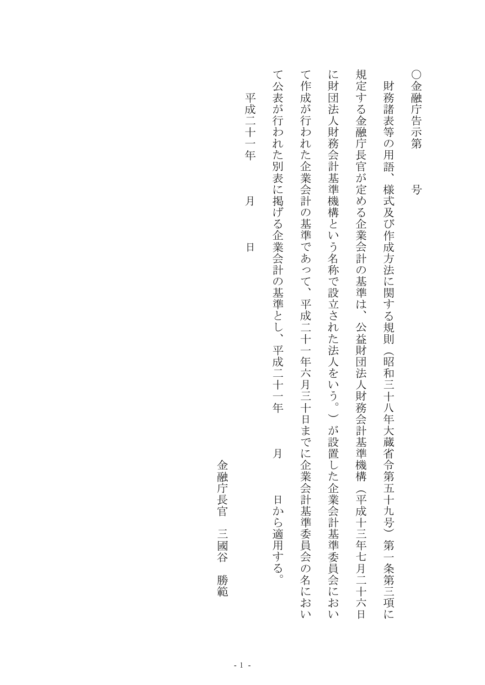| 平成二十一年<br>月<br>日 | て公表が行われた別表に掲げる企業会計の基準とし、<br>平成二十一年<br>月<br>日から適用する。 | て作成が行われた企業会計の基準であって、<br>平成二十一年六月三十日<br>までに企業会計基準委員会の名におい | に財<br>団法人財務会計基準機構という名称で設立された法人をいう。)<br>が設置した企業会計基準委員会におい | 規定する金融庁長官が定める企業会計の基準は、<br>公益財団法人財務会計基準機構<br>(平成十三年七月二十六日 | 財<br>務<br>諸表等の用語<br>様式及び作成方法に関する規則<br>(昭和三十八年大蔵省令第五十九号)<br>第一条第三項に | ○金融庁告示第<br>号 |
|------------------|-----------------------------------------------------|----------------------------------------------------------|----------------------------------------------------------|----------------------------------------------------------|--------------------------------------------------------------------|--------------|
|------------------|-----------------------------------------------------|----------------------------------------------------------|----------------------------------------------------------|----------------------------------------------------------|--------------------------------------------------------------------|--------------|

金融庁長官 金融庁長官三國谷勝範三國谷 勝範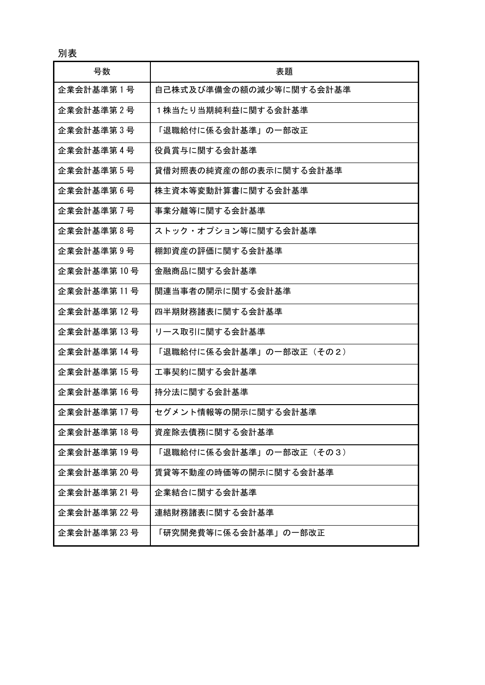別表

| 号数           | 表題                      |
|--------------|-------------------------|
| 企業会計基準第1号    | 自己株式及び準備金の額の減少等に関する会計基準 |
| 企業会計基準第2号    | 1株当たり当期純利益に関する会計基準      |
| 企業会計基準第3号    | 「退職給付に係る会計基準」の一部改正      |
| 企業会計基準第4号    | 役員賞与に関する会計基準            |
| 企業会計基準第5号    | 貸借対照表の純資産の部の表示に関する会計基準  |
| 企業会計基準第6号    | 株主資本等変動計算書に関する会計基準      |
| 企業会計基準第1号    | 事業分離等に関する会計基準           |
| 企業会計基準第8号    | ストック・オプション等に関する会計基準     |
| 企業会計基準第9号    | 棚卸資産の評価に関する会計基準         |
| 企業会計基準第10号   | 金融商品に関する会計基準            |
| 企業会計基準第 11 号 | 関連当事者の開示に関する会計基準        |
| 企業会計基準第 12 号 | 四半期財務諸表に関する会計基準         |
| 企業会計基準第 13 号 | リース取引に関する会計基準           |
| 企業会計基準第 14 号 | 「退職給付に係る会計基準」の一部改正(その2) |
| 企業会計基準第 15 号 | 工事契約に関する会計基準            |
| 企業会計基準第16号   | 持分法に関する会計基準             |
| 企業会計基準第 17 号 | セグメント情報等の開示に関する会計基準     |
| 企業会計基準第18号   | 資産除去債務に関する会計基準          |
| 企業会計基準第 19 号 | 「退職給付に係る会計基準」の一部改正(その3) |
| 企業会計基準第20号   | 賃貸等不動産の時価等の開示に関する会計基準   |
| 企業会計基準第 21 号 | 企業結合に関する会計基準            |
| 企業会計基準第 22 号 | 連結財務諸表に関する会計基準          |
| 企業会計基準第 23 号 | 「研究開発費等に係る会計基準」の一部改正    |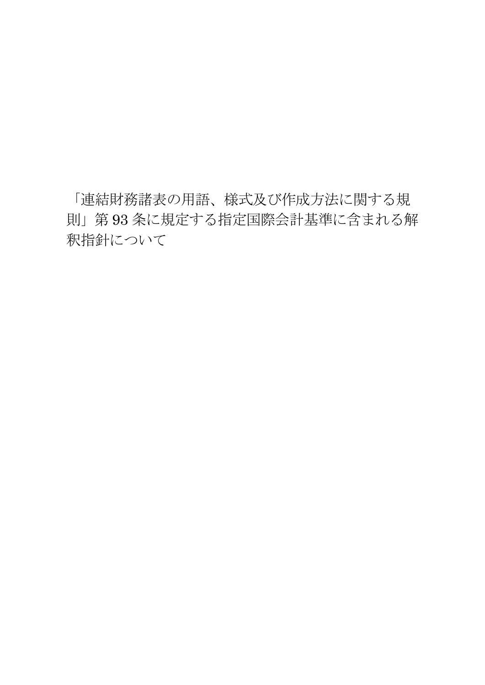「連結財務諸表の用語、様式及び作成方法に関する規 則」第 93 条に規定する指定国際会計基準に含まれる解 釈指針について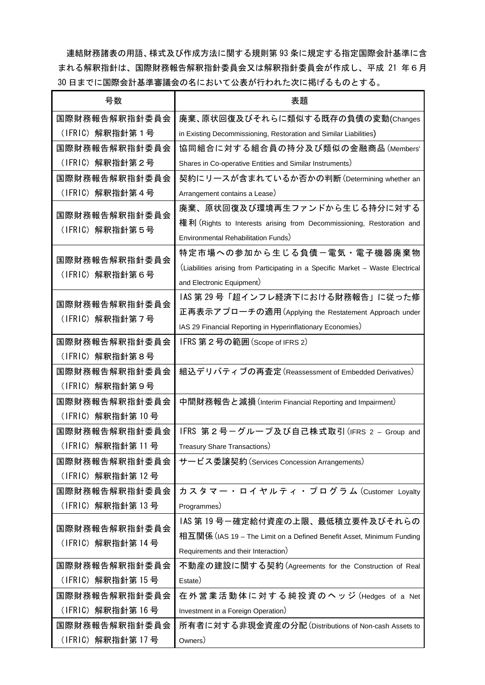連結財務諸表の用語、様式及び作成方法に関する規則第 93 条に規定する指定国際会計基準に含 まれる解釈指針は、国際財務報告解釈指針委員会又は解釈指針委員会が作成し、平成 21 年6月 30 日までに国際会計基準審議会の名において公表が行われた次に掲げるものとする。

| 号数                | 表題                                                                              |
|-------------------|---------------------------------------------------------------------------------|
| 国際財務報告解釈指針委員会     | 廃棄、原状回復及びそれらに類似する既存の負債の変動(Changes                                               |
| (IFRIC)解釈指針第1号    | in Existing Decommissioning, Restoration and Similar Liabilities)               |
| 国際財務報告解釈指針委員会     | 協同組合に対する組合員の持分及び類似の金融商品 (Members'                                               |
| (IFRIC) 解釈指針第2号   | Shares in Co-operative Entities and Similar Instruments)                        |
| 国際財務報告解釈指針委員会     | 契約にリースが含まれているか否かの判断(Determining whether an                                      |
| (IFRIC) 解釈指針第4号   | Arrangement contains a Lease)                                                   |
| 国際財務報告解釈指針委員会     | 廃棄、原状回復及び環境再生ファンドから生じる持分に対する                                                    |
| (IFRIC) 解釈指針第5号   | 権利 (Rights to Interests arising from Decommissioning, Restoration and           |
|                   | Environmental Rehabilitation Funds)                                             |
| 国際財務報告解釈指針委員会     | 特定市場への参加から生じる負債一電気・電子機器廃棄物                                                      |
| (IFRIC)解釈指針第6号    | (Liabilities arising from Participating in a Specific Market - Waste Electrical |
|                   | and Electronic Equipment)                                                       |
| 国際財務報告解釈指針委員会     | IAS 第 29 号「超インフレ経済下における財務報告」に従った修                                               |
| (IFRIC) 解釈指針第7号   | 正再表示アプローチの適用 (Applying the Restatement Approach under                           |
|                   | IAS 29 Financial Reporting in Hyperinflationary Economies)                      |
| 国際財務報告解釈指針委員会     | IFRS 第2号の範囲 (Scope of IFRS 2)                                                   |
| (IFRIC)解釈指針第8号    |                                                                                 |
| 国際財務報告解釈指針委員会     | 組込デリバティブの再査定 (Reassessment of Embedded Derivatives)                             |
| (IFRIC)解釈指針第9号    |                                                                                 |
| 国際財務報告解釈指針委員会     | 中間財務報告と減損 (Interim Financial Reporting and Impairment)                          |
| (IFRIC)解釈指針第 10 号 |                                                                                 |
| 国際財務報告解釈指針委員会     | IFRS 第2号ーグループ及び自己株式取引 (IFRS 2 - Group and                                       |
| (IFRIC)解釈指針第 11 号 | Treasury Share Transactions)                                                    |
| 国際財務報告解釈指針委員会     | サービス委譲契約 (Services Concession Arrangements)                                     |
| (IFRIC) 解釈指針第12号  |                                                                                 |
| 国際財務報告解釈指針委員会     | カスタマー・ロイヤルティ・プログラム (Customer Loyalty                                            |
| (IFRIC) 解釈指針第13号  | Programmes)                                                                     |
| 国際財務報告解釈指針委員会     | IAS 第 19 号一確定給付資産の上限、最低積立要件及びそれらの                                               |
| (IFRIC) 解釈指針第14号  | 相互関係 (IAS 19 – The Limit on a Defined Benefit Asset, Minimum Funding            |
|                   | Requirements and their Interaction)                                             |
| 国際財務報告解釈指針委員会     | 不動産の建設に関する契約(Agreements for the Construction of Real                            |
| (IFRIC) 解釈指針第15号  | Estate)                                                                         |
| 国際財務報告解釈指針委員会     | 在外営業活動体に対する純投資のヘッジ (Hedges of a Net                                             |
| (IFRIC) 解釈指針第16号  | Investment in a Foreign Operation)                                              |
| 国際財務報告解釈指針委員会     | 所有者に対する非現金資産の分配 (Distributions of Non-cash Assets to                            |
| (IFRIC) 解釈指針第17号  | Owners)                                                                         |